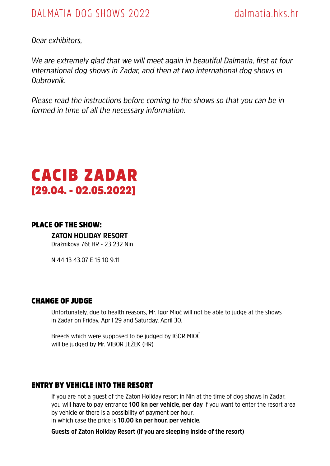*Dear exhibitors,*

*We are extremely glad that we will meet again in beautiful Dalmatia, first at four international dog shows in Zadar, and then at two international dog shows in Dubrovnik.*

*Please read the instructions before coming to the shows so that you can be informed in time of all the necessary information.*



#### PLACE OF THE SHOW:

#### **ZATON HOLIDAY RESORT**

Dražnikova 76t HR - 23 232 Nin

N 44 13 43.07 E 15 10 9.11

#### CHANGE OF JUDGE

Unfortunately, due to health reasons, Mr. Igor Mioč will not be able to judge at the shows in Zadar on Friday, April 29 and Saturday, April 30.

Breeds which were supposed to be judged by IGOR MIOČ will be judged by Mr. VIBOR JEŽEK (HR)

### ENTRY BY VEHICLE INTO THE RESORT

If you are not a guest of the Zaton Holiday resort in Nin at the time of dog shows in Zadar, you will have to pay entrance **100 kn per vehicle, per day** if you want to enter the resort area by vehicle or there is a possibility of payment per hour, in which case the price is **10.00 kn per hour, per vehicle.**

**Guests of Zaton Holiday Resort (if you are sleeping inside of the resort)**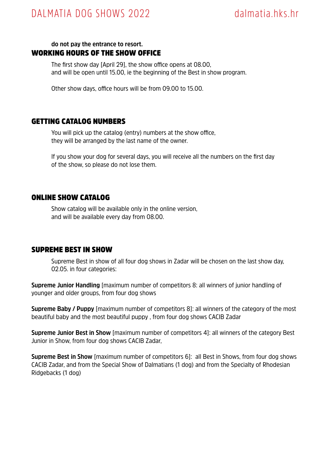## DALMATIA DOG SHOWS 2022 dalmatia.hks.hr

#### **do not pay the entrance to resort.** WORKING HOURS OF THE SHOW OFFICE

The first show day [April 29], the show office opens at 08.00, and will be open until 15.00, ie the beginning of the Best in show program.

Other show days, office hours will be from 09.00 to 15.00.

#### GETTING CATALOG NUMBERS

You will pick up the catalog (entry) numbers at the show office, they will be arranged by the last name of the owner.

If you show your dog for several days, you will receive all the numbers on the first day of the show, so please do not lose them.

#### ONLINE SHOW CATALOG

Show catalog will be available only in the online version, and will be available every day from 08.00.

#### SUPREME BEST IN SHOW

Supreme Best in show of all four dog shows in Zadar will be chosen on the last show day, 02.05. in four categories:

**Supreme Junior Handling** [maximum number of competitors 8: all winners of junior handling of younger and older groups, from four dog shows

**Supreme Baby / Puppy** [maximum number of competitors 8]: all winners of the category of the most beautiful baby and the most beautiful puppy , from four dog shows CACIB Zadar

**Supreme Junior Best in Show** [maximum number of competitors 4]: all winners of the category Best Junior in Show, from four dog shows CACIB Zadar,

**Supreme Best in Show** [maximum number of competitors 6]: all Best in Shows, from four dog shows CACIB Zadar, and from the Special Show of Dalmatians (1 dog) and from the Specialty of Rhodesian Ridgebacks (1 dog)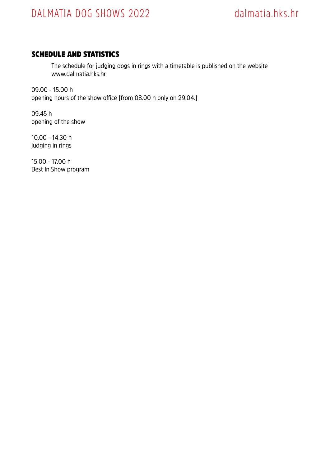# DALMATIA DOG SHOWS 2022 dalmatia.hks.hr

### SCHEDULE AND STATISTICS

The schedule for judging dogs in rings with a timetable is published on the website www.dalmatia.hks.hr

09.00 - 15.00 h opening hours of the show office [from 08.00 h only on 29.04.]

09.45 h opening of the show

10.00 - 14.30 h judging in rings

15.00 - 17.00 h Best In Show program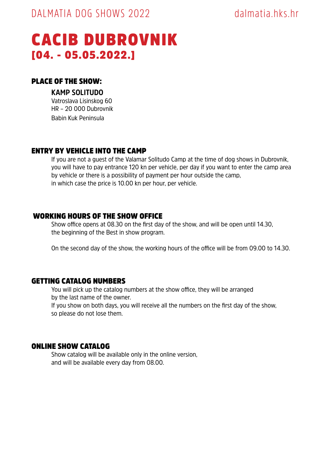# CACIB DUBROVNIK [04. - 05.05.2022.]

### PLACE OF THE SHOW:

#### **KAMP SOLITUDO**

Vatroslava Lisinskog 60 HR – 20 000 Dubrovnik Babin Kuk Peninsula

### ENTRY BY VEHICLE INTO THE CAMP

If you are not a guest of the Valamar Solitudo Camp at the time of dog shows in Dubrovnik, you will have to pay entrance 120 kn per vehicle, per day if you want to enter the camp area by vehicle or there is a possibility of payment per hour outside the camp, in which case the price is 10.00 kn per hour, per vehicle.

### WORKING HOURS OF THE SHOW OFFICE

Show office opens at 08.30 on the first day of the show, and will be open until 14.30, the beginning of the Best in show program.

On the second day of the show, the working hours of the office will be from 09.00 to 14.30.

### GETTING CATALOG NUMBERS

You will pick up the catalog numbers at the show office, they will be arranged by the last name of the owner. If you show on both days, you will receive all the numbers on the first day of the show,

so please do not lose them.

### ONLINE SHOW CATALOG

Show catalog will be available only in the online version, and will be available every day from 08.00.